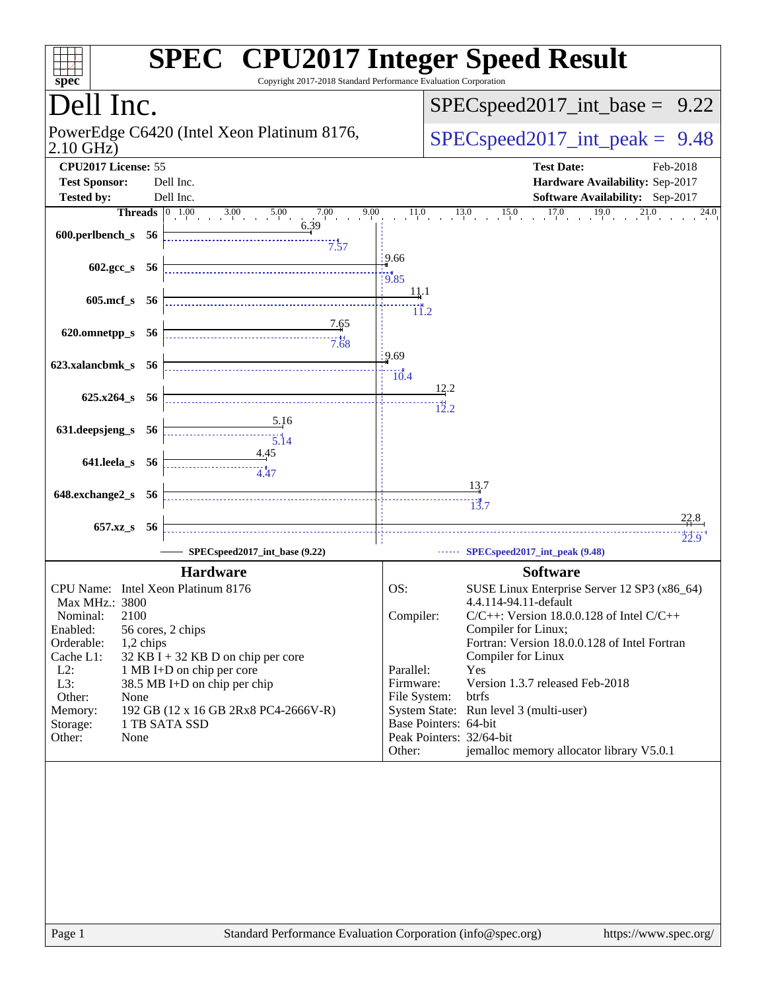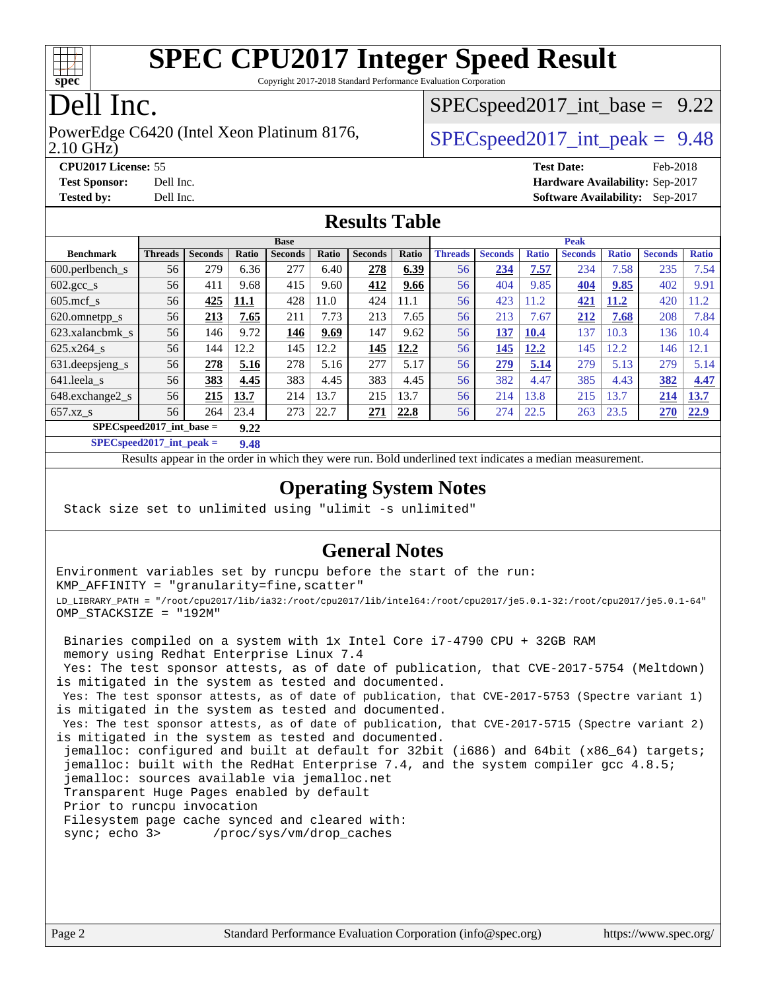

Copyright 2017-2018 Standard Performance Evaluation Corporation

### Dell Inc.

2.10 GHz) PowerEdge C6420 (Intel Xeon Platinum 8176,  $\vert$  [SPECspeed2017\\_int\\_peak =](http://www.spec.org/auto/cpu2017/Docs/result-fields.html#SPECspeed2017intpeak) 9.48

 $SPECspeed2017\_int\_base = 9.22$ 

**[CPU2017 License:](http://www.spec.org/auto/cpu2017/Docs/result-fields.html#CPU2017License)** 55 **[Test Date:](http://www.spec.org/auto/cpu2017/Docs/result-fields.html#TestDate)** Feb-2018 **[Test Sponsor:](http://www.spec.org/auto/cpu2017/Docs/result-fields.html#TestSponsor)** Dell Inc. **[Hardware Availability:](http://www.spec.org/auto/cpu2017/Docs/result-fields.html#HardwareAvailability)** Sep-2017 **[Tested by:](http://www.spec.org/auto/cpu2017/Docs/result-fields.html#Testedby)** Dell Inc. **[Software Availability:](http://www.spec.org/auto/cpu2017/Docs/result-fields.html#SoftwareAvailability)** Sep-2017

#### **[Results Table](http://www.spec.org/auto/cpu2017/Docs/result-fields.html#ResultsTable)**

|                                      | <b>Base</b>    |                |       |                |       | <b>Peak</b>    |       |                |                |              |                |              |                |              |
|--------------------------------------|----------------|----------------|-------|----------------|-------|----------------|-------|----------------|----------------|--------------|----------------|--------------|----------------|--------------|
| <b>Benchmark</b>                     | <b>Threads</b> | <b>Seconds</b> | Ratio | <b>Seconds</b> | Ratio | <b>Seconds</b> | Ratio | <b>Threads</b> | <b>Seconds</b> | <b>Ratio</b> | <b>Seconds</b> | <b>Ratio</b> | <b>Seconds</b> | <b>Ratio</b> |
| $600.$ perlbench $\mathsf{S}$        | 56             | 279            | 6.36  | 277            | 6.40  | 278            | 6.39  | 56             | 234            | 7.57         | 234            | 7.58         | 235            | 7.54         |
| $602.\text{gcc}\_\text{s}$           | 56             | 411            | 9.68  | 415            | 9.60  | 412            | 9.66  | 56             | 404            | 9.85         | 404            | 9.85         | 402            | 9.91         |
| $605$ .mcf s                         | 56             | 425            | 11.1  | 428            | 11.0  | 424            | 11.1  | 56             | 423            | 11.2         | 421            | 11.2         | 420            | 1.2          |
| 620.omnetpp_s                        | 56             | 213            | 7.65  | 211            | 7.73  | 213            | 7.65  | 56             | 213            | 7.67         | 212            | 7.68         | 208            | 7.84         |
| 623.xalancbmk s                      | 56             | 146            | 9.72  | 146            | 9.69  | 147            | 9.62  | 56             | 137            | 10.4         | 137            | 10.3         | 136            | 10.4         |
| 625.x264 s                           | 56             | 144            | 12.2  | 145            | 12.2  | 145            | 12.2  | 56             | 145            | 12.2         | 145            | 12.2         | 146            | 12.1         |
| 631.deepsjeng_s                      | 56             | 278            | 5.16  | 278            | 5.16  | 277            | 5.17  | 56             | 279            | 5.14         | 279            | 5.13         | 279            | 5.14         |
| 641.leela s                          | 56             | 383            | 4.45  | 383            | 4.45  | 383            | 4.45  | 56             | 382            | 4.47         | 385            | 4.43         | 382            | 4.47         |
| 648.exchange2 s                      | 56             | 215            | 13.7  | 214            | 13.7  | 215            | 13.7  | 56             | 214            | 13.8         | 215            | 13.7         | 214            | 13.7         |
| $657.xz$ <sub>S</sub>                | 56             | 264            | 23.4  | 273            | 22.7  | 271            | 22.8  | 56             | 274            | 22.5         | 263            | 23.5         | 270            | 22.9         |
| $SPECspeed2017\_int\_base =$<br>9.22 |                |                |       |                |       |                |       |                |                |              |                |              |                |              |

**[SPECspeed2017\\_int\\_peak =](http://www.spec.org/auto/cpu2017/Docs/result-fields.html#SPECspeed2017intpeak) 9.48**

Results appear in the [order in which they were run.](http://www.spec.org/auto/cpu2017/Docs/result-fields.html#RunOrder) Bold underlined text [indicates a median measurement](http://www.spec.org/auto/cpu2017/Docs/result-fields.html#Median).

#### **[Operating System Notes](http://www.spec.org/auto/cpu2017/Docs/result-fields.html#OperatingSystemNotes)**

Stack size set to unlimited using "ulimit -s unlimited"

#### **[General Notes](http://www.spec.org/auto/cpu2017/Docs/result-fields.html#GeneralNotes)**

Environment variables set by runcpu before the start of the run: KMP\_AFFINITY = "granularity=fine,scatter" LD\_LIBRARY\_PATH = "/root/cpu2017/lib/ia32:/root/cpu2017/lib/intel64:/root/cpu2017/je5.0.1-32:/root/cpu2017/je5.0.1-64" OMP\_STACKSIZE = "192M"

 Binaries compiled on a system with 1x Intel Core i7-4790 CPU + 32GB RAM memory using Redhat Enterprise Linux 7.4 Yes: The test sponsor attests, as of date of publication, that CVE-2017-5754 (Meltdown) is mitigated in the system as tested and documented. Yes: The test sponsor attests, as of date of publication, that CVE-2017-5753 (Spectre variant 1) is mitigated in the system as tested and documented. Yes: The test sponsor attests, as of date of publication, that CVE-2017-5715 (Spectre variant 2) is mitigated in the system as tested and documented. jemalloc: configured and built at default for 32bit (i686) and 64bit (x86\_64) targets; jemalloc: built with the RedHat Enterprise 7.4, and the system compiler gcc 4.8.5; jemalloc: sources available via jemalloc.net Transparent Huge Pages enabled by default Prior to runcpu invocation Filesystem page cache synced and cleared with: sync; echo 3> /proc/sys/vm/drop\_caches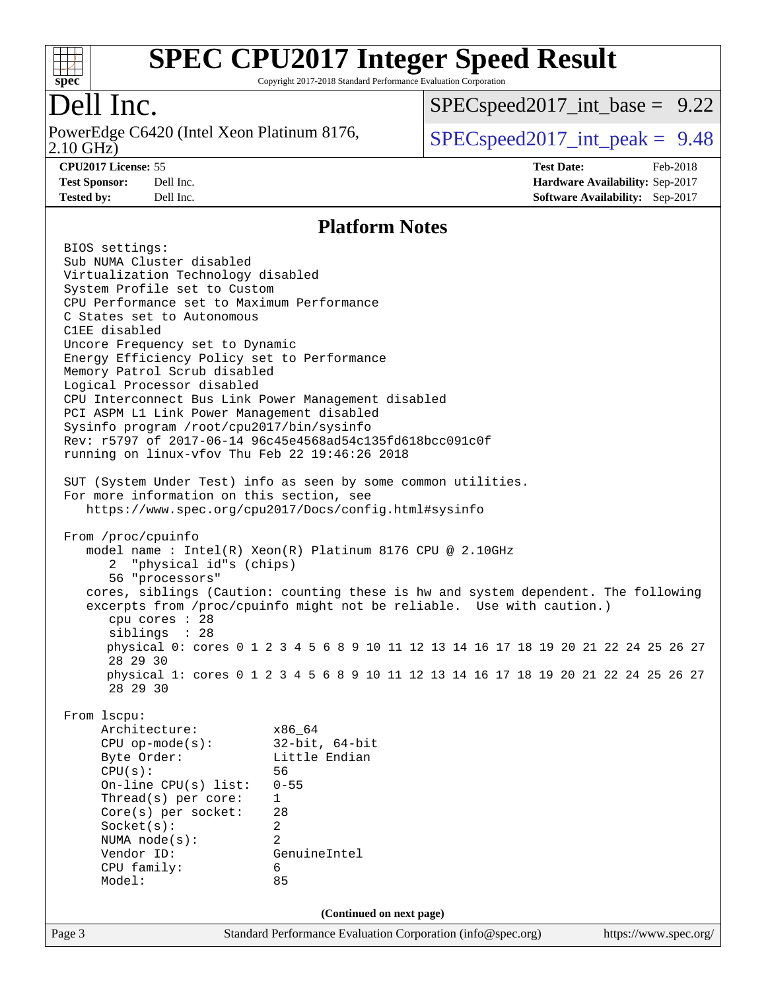

Copyright 2017-2018 Standard Performance Evaluation Corporation

## Dell Inc.

2.10 GHz) PowerEdge C6420 (Intel Xeon Platinum 8176,  $\vert$  [SPECspeed2017\\_int\\_peak =](http://www.spec.org/auto/cpu2017/Docs/result-fields.html#SPECspeed2017intpeak) 9.48

 $SPECspeed2017\_int\_base = 9.22$ 

**[CPU2017 License:](http://www.spec.org/auto/cpu2017/Docs/result-fields.html#CPU2017License)** 55 **[Test Date:](http://www.spec.org/auto/cpu2017/Docs/result-fields.html#TestDate)** Feb-2018 **[Test Sponsor:](http://www.spec.org/auto/cpu2017/Docs/result-fields.html#TestSponsor)** Dell Inc. **[Hardware Availability:](http://www.spec.org/auto/cpu2017/Docs/result-fields.html#HardwareAvailability)** Sep-2017 **[Tested by:](http://www.spec.org/auto/cpu2017/Docs/result-fields.html#Testedby)** Dell Inc. **[Software Availability:](http://www.spec.org/auto/cpu2017/Docs/result-fields.html#SoftwareAvailability)** Sep-2017

#### **[Platform Notes](http://www.spec.org/auto/cpu2017/Docs/result-fields.html#PlatformNotes)**

Page 3 Standard Performance Evaluation Corporation [\(info@spec.org\)](mailto:info@spec.org) <https://www.spec.org/> BIOS settings: Sub NUMA Cluster disabled Virtualization Technology disabled System Profile set to Custom CPU Performance set to Maximum Performance C States set to Autonomous C1EE disabled Uncore Frequency set to Dynamic Energy Efficiency Policy set to Performance Memory Patrol Scrub disabled Logical Processor disabled CPU Interconnect Bus Link Power Management disabled PCI ASPM L1 Link Power Management disabled Sysinfo program /root/cpu2017/bin/sysinfo Rev: r5797 of 2017-06-14 96c45e4568ad54c135fd618bcc091c0f running on linux-vfov Thu Feb 22 19:46:26 2018 SUT (System Under Test) info as seen by some common utilities. For more information on this section, see <https://www.spec.org/cpu2017/Docs/config.html#sysinfo> From /proc/cpuinfo model name : Intel(R) Xeon(R) Platinum 8176 CPU @ 2.10GHz 2 "physical id"s (chips) 56 "processors" cores, siblings (Caution: counting these is hw and system dependent. The following excerpts from /proc/cpuinfo might not be reliable. Use with caution.) cpu cores : 28 siblings : 28 physical 0: cores 0 1 2 3 4 5 6 8 9 10 11 12 13 14 16 17 18 19 20 21 22 24 25 26 27 28 29 30 physical 1: cores 0 1 2 3 4 5 6 8 9 10 11 12 13 14 16 17 18 19 20 21 22 24 25 26 27 28 29 30 From lscpu: Architecture: x86\_64 CPU op-mode(s): 32-bit, 64-bit Byte Order: Little Endian CPU(s): 56 On-line CPU(s) list: 0-55 Thread(s) per core: 1 Core(s) per socket: 28 Socket(s): 2 NUMA node(s): 2 Vendor ID: GenuineIntel CPU family: 6 Model: 85 **(Continued on next page)**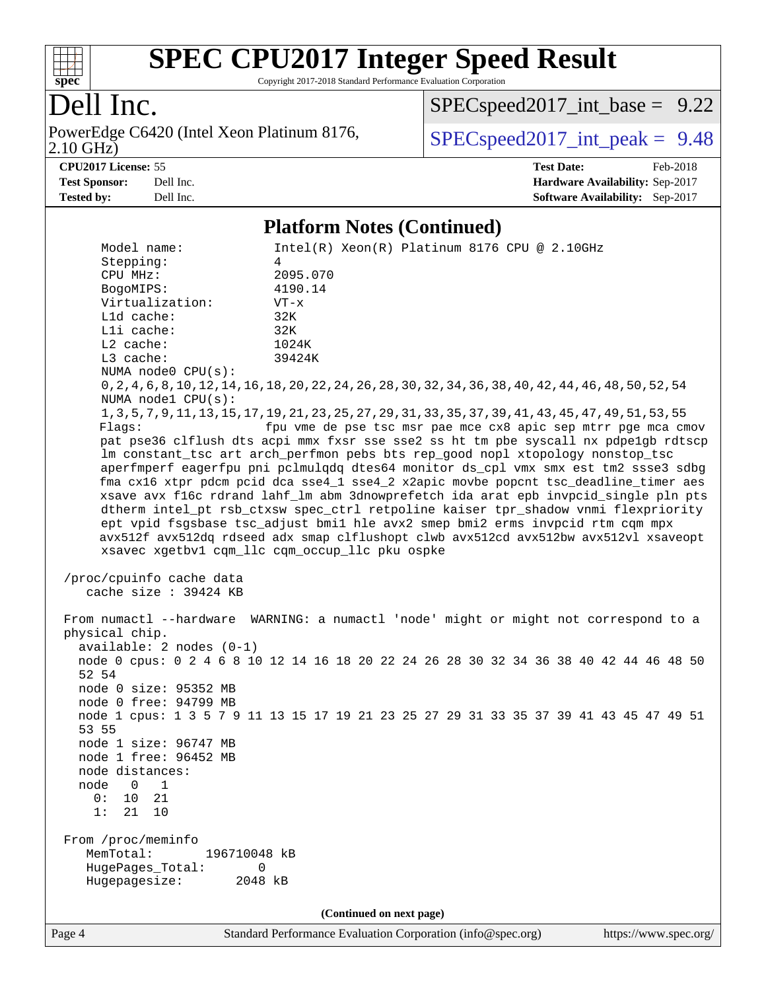

Copyright 2017-2018 Standard Performance Evaluation Corporation

### Dell Inc.

2.10 GHz) PowerEdge C6420 (Intel Xeon Platinum 8176,  $\vert$  [SPECspeed2017\\_int\\_peak =](http://www.spec.org/auto/cpu2017/Docs/result-fields.html#SPECspeed2017intpeak) 9.48

 $SPECspeed2017\_int\_base = 9.22$ 

**[Tested by:](http://www.spec.org/auto/cpu2017/Docs/result-fields.html#Testedby)** Dell Inc. **[Software Availability:](http://www.spec.org/auto/cpu2017/Docs/result-fields.html#SoftwareAvailability)** Sep-2017

**[CPU2017 License:](http://www.spec.org/auto/cpu2017/Docs/result-fields.html#CPU2017License)** 55 **[Test Date:](http://www.spec.org/auto/cpu2017/Docs/result-fields.html#TestDate)** Feb-2018 **[Test Sponsor:](http://www.spec.org/auto/cpu2017/Docs/result-fields.html#TestSponsor)** Dell Inc. **[Hardware Availability:](http://www.spec.org/auto/cpu2017/Docs/result-fields.html#HardwareAvailability)** Sep-2017

#### **[Platform Notes \(Continued\)](http://www.spec.org/auto/cpu2017/Docs/result-fields.html#PlatformNotes)**

Model name: Intel(R) Xeon(R) Platinum 8176 CPU @ 2.10GHz Stepping: 4 CPU MHz: 2095.070 BogoMIPS: 4190.14 Virtualization: VT-x L1d cache: 32K L1i cache: 32K L2 cache: 1024K L3 cache: 39424K NUMA node0 CPU(s): 0,2,4,6,8,10,12,14,16,18,20,22,24,26,28,30,32,34,36,38,40,42,44,46,48,50,52,54 NUMA node1 CPU(s): 1,3,5,7,9,11,13,15,17,19,21,23,25,27,29,31,33,35,37,39,41,43,45,47,49,51,53,55 Flags: fpu vme de pse tsc msr pae mce cx8 apic sep mtrr pge mca cmov pat pse36 clflush dts acpi mmx fxsr sse sse2 ss ht tm pbe syscall nx pdpe1gb rdtscp lm constant\_tsc art arch\_perfmon pebs bts rep\_good nopl xtopology nonstop\_tsc aperfmperf eagerfpu pni pclmulqdq dtes64 monitor ds\_cpl vmx smx est tm2 ssse3 sdbg fma cx16 xtpr pdcm pcid dca sse4\_1 sse4\_2 x2apic movbe popcnt tsc\_deadline\_timer aes xsave avx f16c rdrand lahf\_lm abm 3dnowprefetch ida arat epb invpcid\_single pln pts dtherm intel\_pt rsb\_ctxsw spec\_ctrl retpoline kaiser tpr\_shadow vnmi flexpriority ept vpid fsgsbase tsc\_adjust bmi1 hle avx2 smep bmi2 erms invpcid rtm cqm mpx avx512f avx512dq rdseed adx smap clflushopt clwb avx512cd avx512bw avx512vl xsaveopt xsavec xgetbv1 cqm\_llc cqm\_occup\_llc pku ospke /proc/cpuinfo cache data cache size : 39424 KB From numactl --hardware WARNING: a numactl 'node' might or might not correspond to a physical chip. available: 2 nodes (0-1) node 0 cpus: 0 2 4 6 8 10 12 14 16 18 20 22 24 26 28 30 32 34 36 38 40 42 44 46 48 50 52 54 node 0 size: 95352 MB node 0 free: 94799 MB node 1 cpus: 1 3 5 7 9 11 13 15 17 19 21 23 25 27 29 31 33 35 37 39 41 43 45 47 49 51 53 55 node 1 size: 96747 MB node 1 free: 96452 MB node distances: node 0 1 0: 10 21 1: 21 10 From /proc/meminfo MemTotal: 196710048 kB HugePages\_Total: 0 Hugepagesize: 2048 kB **(Continued on next page)**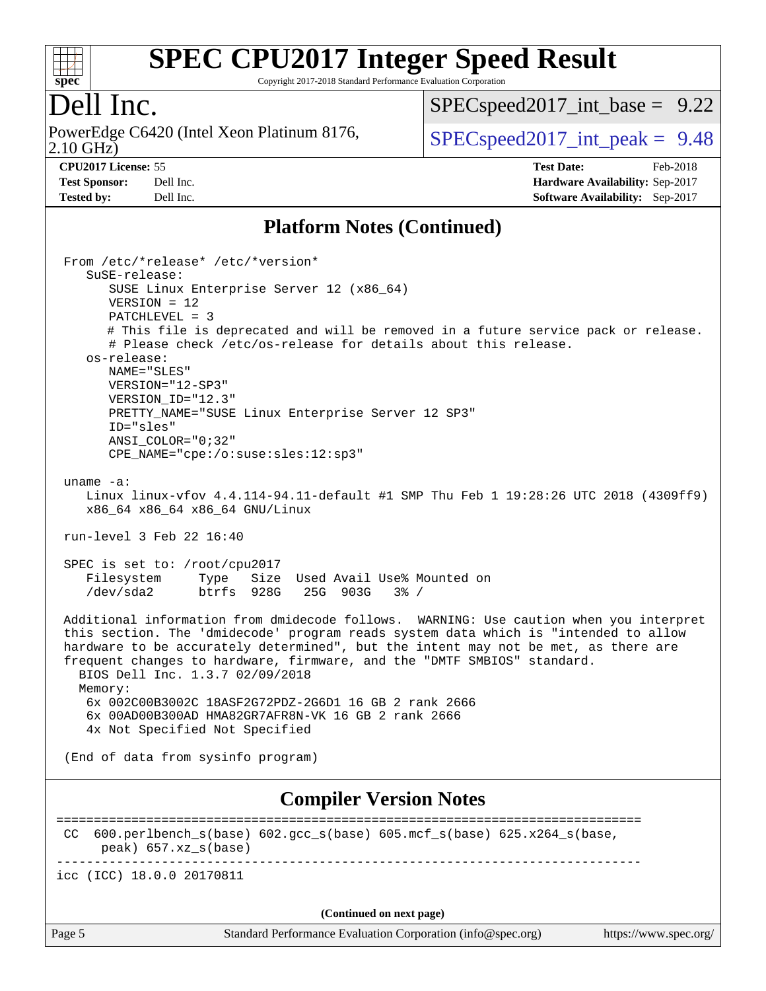

Copyright 2017-2018 Standard Performance Evaluation Corporation

#### Dell Inc.

2.10 GHz) PowerEdge C6420 (Intel Xeon Platinum 8176,  $\boxed{\text{SPEC speed2017\_int\_peak = 9.48}}$ 

[SPECspeed2017\\_int\\_base =](http://www.spec.org/auto/cpu2017/Docs/result-fields.html#SPECspeed2017intbase) 9.22

**[CPU2017 License:](http://www.spec.org/auto/cpu2017/Docs/result-fields.html#CPU2017License)** 55 **[Test Date:](http://www.spec.org/auto/cpu2017/Docs/result-fields.html#TestDate)** Feb-2018 **[Test Sponsor:](http://www.spec.org/auto/cpu2017/Docs/result-fields.html#TestSponsor)** Dell Inc. **[Hardware Availability:](http://www.spec.org/auto/cpu2017/Docs/result-fields.html#HardwareAvailability)** Sep-2017 **[Tested by:](http://www.spec.org/auto/cpu2017/Docs/result-fields.html#Testedby)** Dell Inc. **[Software Availability:](http://www.spec.org/auto/cpu2017/Docs/result-fields.html#SoftwareAvailability)** Sep-2017

#### **[Platform Notes \(Continued\)](http://www.spec.org/auto/cpu2017/Docs/result-fields.html#PlatformNotes)**

| From /etc/*release* /etc/*version*<br>SuSE-release:<br>SUSE Linux Enterprise Server 12 (x86_64)<br>$VERSION = 12$<br>$PATCHLEVEL = 3$<br># This file is deprecated and will be removed in a future service pack or release.<br># Please check /etc/os-release for details about this release.<br>os-release:<br>NAME="SLES"<br>$VERSION = "12-SP3"$<br>VERSION ID="12.3"<br>PRETTY_NAME="SUSE Linux Enterprise Server 12 SP3"<br>ID="sles"<br>$ANSI$ _COLOR=" $0:32$ "<br>CPE_NAME="cpe:/o:suse:sles:12:sp3" |  |  |  |
|--------------------------------------------------------------------------------------------------------------------------------------------------------------------------------------------------------------------------------------------------------------------------------------------------------------------------------------------------------------------------------------------------------------------------------------------------------------------------------------------------------------|--|--|--|
|                                                                                                                                                                                                                                                                                                                                                                                                                                                                                                              |  |  |  |
| uname $-a$ :<br>Linux linux-vfov 4.4.114-94.11-default #1 SMP Thu Feb 1 19:28:26 UTC 2018 (4309ff9)<br>x86_64 x86_64 x86_64 GNU/Linux                                                                                                                                                                                                                                                                                                                                                                        |  |  |  |
| run-level 3 Feb 22 16:40                                                                                                                                                                                                                                                                                                                                                                                                                                                                                     |  |  |  |
| SPEC is set to: /root/cpu2017<br>Type Size Used Avail Use% Mounted on<br>Filesystem<br>btrfs 928G 25G 903G 3% /<br>/dev/sda2                                                                                                                                                                                                                                                                                                                                                                                 |  |  |  |
| Additional information from dmidecode follows. WARNING: Use caution when you interpret<br>this section. The 'dmidecode' program reads system data which is "intended to allow<br>hardware to be accurately determined", but the intent may not be met, as there are<br>frequent changes to hardware, firmware, and the "DMTF SMBIOS" standard.<br>BIOS Dell Inc. 1.3.7 02/09/2018                                                                                                                            |  |  |  |
| Memory:<br>6x 002C00B3002C 18ASF2G72PDZ-2G6D1 16 GB 2 rank 2666<br>6x 00AD00B300AD HMA82GR7AFR8N-VK 16 GB 2 rank 2666<br>4x Not Specified Not Specified                                                                                                                                                                                                                                                                                                                                                      |  |  |  |
| (End of data from sysinfo program)                                                                                                                                                                                                                                                                                                                                                                                                                                                                           |  |  |  |
| <b>Compiler Version Notes</b>                                                                                                                                                                                                                                                                                                                                                                                                                                                                                |  |  |  |
| 600.perlbench_s(base) 602.gcc_s(base) 605.mcf_s(base) 625.x264_s(base,<br>CC<br>peak) 657.xz_s(base)                                                                                                                                                                                                                                                                                                                                                                                                         |  |  |  |
| --------------------------------------<br>icc (ICC) 18.0.0 20170811                                                                                                                                                                                                                                                                                                                                                                                                                                          |  |  |  |
| (Continued on next page)                                                                                                                                                                                                                                                                                                                                                                                                                                                                                     |  |  |  |

Page 5 Standard Performance Evaluation Corporation [\(info@spec.org\)](mailto:info@spec.org) <https://www.spec.org/>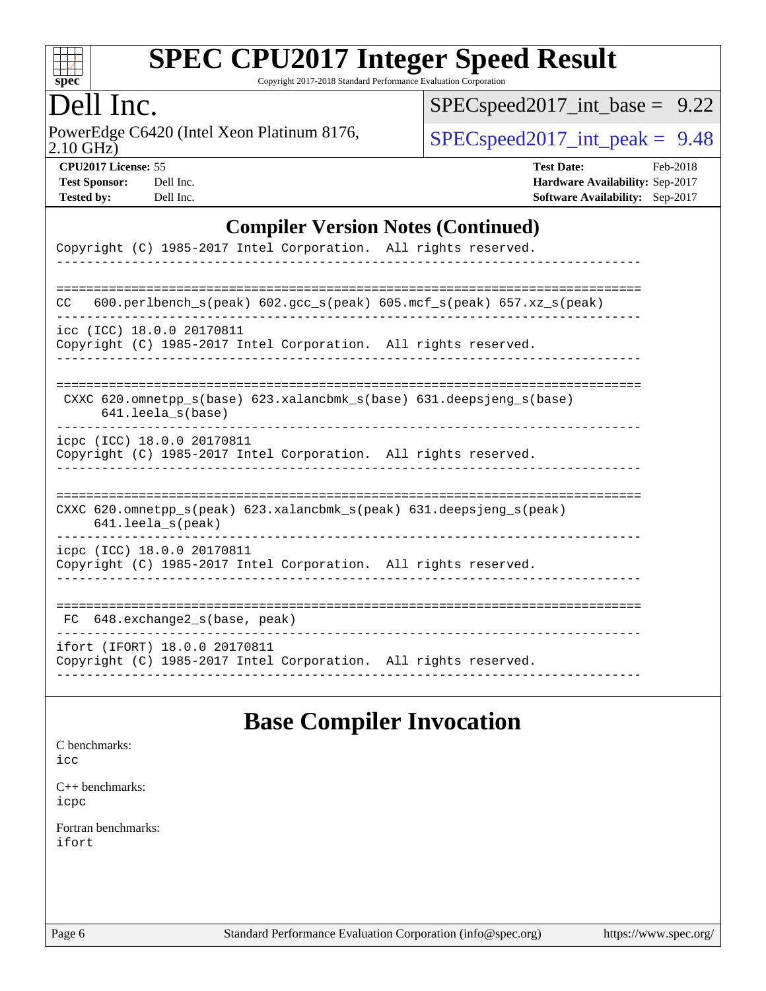

Copyright 2017-2018 Standard Performance Evaluation Corporation

#### Dell Inc.

2.10 GHz) PowerEdge C6420 (Intel Xeon Platinum 8176,  $\boxed{\text{SPEC speed2017\_int\_peak = 9.48}}$ 

[SPECspeed2017\\_int\\_base =](http://www.spec.org/auto/cpu2017/Docs/result-fields.html#SPECspeed2017intbase) 9.22

| <b>Test Sponsor:</b> | Dell Ind |
|----------------------|----------|
| <b>Tested by:</b>    | Dell Ind |

**[CPU2017 License:](http://www.spec.org/auto/cpu2017/Docs/result-fields.html#CPU2017License)** 55 **[Test Date:](http://www.spec.org/auto/cpu2017/Docs/result-fields.html#TestDate)** Feb-2018 **[Test Sponsor:](http://www.spec.org/auto/cpu2017/Docs/result-fields.html#TestSponsor) [Hardware Availability:](http://www.spec.org/auto/cpu2017/Docs/result-fields.html#HardwareAvailability)** Sep-2017 **[Tested by:](http://www.spec.org/auto/cpu2017/Docs/result-fields.html#Testedby) [Software Availability:](http://www.spec.org/auto/cpu2017/Docs/result-fields.html#SoftwareAvailability)** Sep-2017

#### **[Compiler Version Notes \(Continued\)](http://www.spec.org/auto/cpu2017/Docs/result-fields.html#CompilerVersionNotes)**

| Copyright (C) 1985-2017 Intel Corporation. All rights reserved.                                  |
|--------------------------------------------------------------------------------------------------|
| $600. perlbench_s (peak) 602. gcc_s (peak) 605. mcf_s (peak) 657. xz_s (peak)$<br>CC             |
| icc (ICC) 18.0.0 20170811<br>Copyright (C) 1985-2017 Intel Corporation. All rights reserved.     |
| CXXC 620.omnetpp $s(base)$ 623.xalancbmk $s(base)$ 631.deepsjeng $s(base)$<br>641.leela s(base)  |
| icpc (ICC) 18.0.0 20170811<br>Copyright (C) 1985-2017 Intel Corporation. All rights reserved.    |
| CXXC 620.omnetpp_s(peak) 623.xalancbmk_s(peak) 631.deepsjeng_s(peak)<br>$641.$ leela $s$ (peak)  |
| icpc (ICC) 18.0.0 20170811<br>Copyright (C) 1985-2017 Intel Corporation. All rights reserved.    |
| 648.exchange2 s(base, peak)<br>FC.                                                               |
| ifort (IFORT) 18.0.0 20170811<br>Copyright (C) 1985-2017 Intel Corporation. All rights reserved. |

#### **[Base Compiler Invocation](http://www.spec.org/auto/cpu2017/Docs/result-fields.html#BaseCompilerInvocation)**

[C benchmarks](http://www.spec.org/auto/cpu2017/Docs/result-fields.html#Cbenchmarks): [icc](http://www.spec.org/cpu2017/results/res2018q1/cpu2017-20180305-03845.flags.html#user_CCbase_intel_icc_18.0_66fc1ee009f7361af1fbd72ca7dcefbb700085f36577c54f309893dd4ec40d12360134090235512931783d35fd58c0460139e722d5067c5574d8eaf2b3e37e92)

[C++ benchmarks:](http://www.spec.org/auto/cpu2017/Docs/result-fields.html#CXXbenchmarks) [icpc](http://www.spec.org/cpu2017/results/res2018q1/cpu2017-20180305-03845.flags.html#user_CXXbase_intel_icpc_18.0_c510b6838c7f56d33e37e94d029a35b4a7bccf4766a728ee175e80a419847e808290a9b78be685c44ab727ea267ec2f070ec5dc83b407c0218cded6866a35d07)

[Fortran benchmarks](http://www.spec.org/auto/cpu2017/Docs/result-fields.html#Fortranbenchmarks): [ifort](http://www.spec.org/cpu2017/results/res2018q1/cpu2017-20180305-03845.flags.html#user_FCbase_intel_ifort_18.0_8111460550e3ca792625aed983ce982f94888b8b503583aa7ba2b8303487b4d8a21a13e7191a45c5fd58ff318f48f9492884d4413fa793fd88dd292cad7027ca)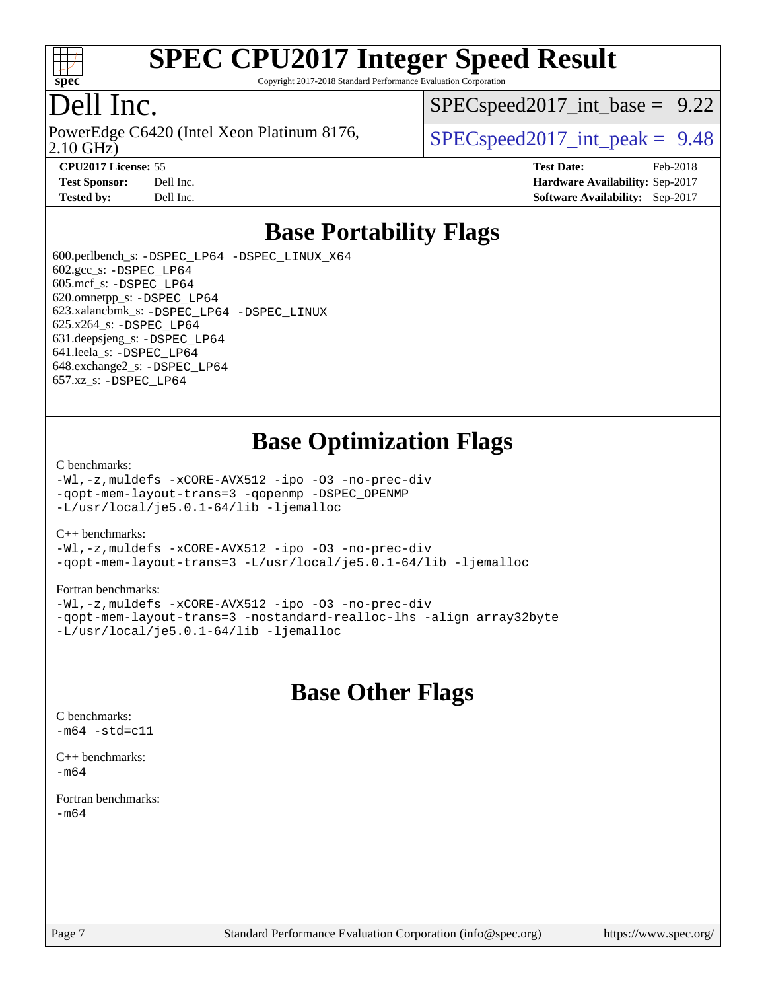

Copyright 2017-2018 Standard Performance Evaluation Corporation

#### Dell Inc.

PowerEdge C6420 (Intel Xeon Platinum 8176,<br>2.10 GHz)

 $SPECspeed2017\_int\_base = 9.22$ 

 $SPECspeed2017\_int\_peak = 9.48$ 

**[CPU2017 License:](http://www.spec.org/auto/cpu2017/Docs/result-fields.html#CPU2017License)** 55 **[Test Date:](http://www.spec.org/auto/cpu2017/Docs/result-fields.html#TestDate)** Feb-2018 **[Test Sponsor:](http://www.spec.org/auto/cpu2017/Docs/result-fields.html#TestSponsor)** Dell Inc. **[Hardware Availability:](http://www.spec.org/auto/cpu2017/Docs/result-fields.html#HardwareAvailability)** Sep-2017 **[Tested by:](http://www.spec.org/auto/cpu2017/Docs/result-fields.html#Testedby)** Dell Inc. **[Software Availability:](http://www.spec.org/auto/cpu2017/Docs/result-fields.html#SoftwareAvailability)** Sep-2017

#### **[Base Portability Flags](http://www.spec.org/auto/cpu2017/Docs/result-fields.html#BasePortabilityFlags)**

 600.perlbench\_s: [-DSPEC\\_LP64](http://www.spec.org/cpu2017/results/res2018q1/cpu2017-20180305-03845.flags.html#b600.perlbench_s_basePORTABILITY_DSPEC_LP64) [-DSPEC\\_LINUX\\_X64](http://www.spec.org/cpu2017/results/res2018q1/cpu2017-20180305-03845.flags.html#b600.perlbench_s_baseCPORTABILITY_DSPEC_LINUX_X64) 602.gcc\_s: [-DSPEC\\_LP64](http://www.spec.org/cpu2017/results/res2018q1/cpu2017-20180305-03845.flags.html#suite_basePORTABILITY602_gcc_s_DSPEC_LP64) 605.mcf\_s: [-DSPEC\\_LP64](http://www.spec.org/cpu2017/results/res2018q1/cpu2017-20180305-03845.flags.html#suite_basePORTABILITY605_mcf_s_DSPEC_LP64) 620.omnetpp\_s: [-DSPEC\\_LP64](http://www.spec.org/cpu2017/results/res2018q1/cpu2017-20180305-03845.flags.html#suite_basePORTABILITY620_omnetpp_s_DSPEC_LP64) 623.xalancbmk\_s: [-DSPEC\\_LP64](http://www.spec.org/cpu2017/results/res2018q1/cpu2017-20180305-03845.flags.html#suite_basePORTABILITY623_xalancbmk_s_DSPEC_LP64) [-DSPEC\\_LINUX](http://www.spec.org/cpu2017/results/res2018q1/cpu2017-20180305-03845.flags.html#b623.xalancbmk_s_baseCXXPORTABILITY_DSPEC_LINUX) 625.x264\_s: [-DSPEC\\_LP64](http://www.spec.org/cpu2017/results/res2018q1/cpu2017-20180305-03845.flags.html#suite_basePORTABILITY625_x264_s_DSPEC_LP64) 631.deepsjeng\_s: [-DSPEC\\_LP64](http://www.spec.org/cpu2017/results/res2018q1/cpu2017-20180305-03845.flags.html#suite_basePORTABILITY631_deepsjeng_s_DSPEC_LP64) 641.leela\_s: [-DSPEC\\_LP64](http://www.spec.org/cpu2017/results/res2018q1/cpu2017-20180305-03845.flags.html#suite_basePORTABILITY641_leela_s_DSPEC_LP64) 648.exchange2\_s: [-DSPEC\\_LP64](http://www.spec.org/cpu2017/results/res2018q1/cpu2017-20180305-03845.flags.html#suite_basePORTABILITY648_exchange2_s_DSPEC_LP64) 657.xz\_s: [-DSPEC\\_LP64](http://www.spec.org/cpu2017/results/res2018q1/cpu2017-20180305-03845.flags.html#suite_basePORTABILITY657_xz_s_DSPEC_LP64)

#### **[Base Optimization Flags](http://www.spec.org/auto/cpu2017/Docs/result-fields.html#BaseOptimizationFlags)**

#### [C benchmarks](http://www.spec.org/auto/cpu2017/Docs/result-fields.html#Cbenchmarks):

[-Wl,-z,muldefs](http://www.spec.org/cpu2017/results/res2018q1/cpu2017-20180305-03845.flags.html#user_CCbase_link_force_multiple1_b4cbdb97b34bdee9ceefcfe54f4c8ea74255f0b02a4b23e853cdb0e18eb4525ac79b5a88067c842dd0ee6996c24547a27a4b99331201badda8798ef8a743f577) [-xCORE-AVX512](http://www.spec.org/cpu2017/results/res2018q1/cpu2017-20180305-03845.flags.html#user_CCbase_f-xCORE-AVX512) [-ipo](http://www.spec.org/cpu2017/results/res2018q1/cpu2017-20180305-03845.flags.html#user_CCbase_f-ipo) [-O3](http://www.spec.org/cpu2017/results/res2018q1/cpu2017-20180305-03845.flags.html#user_CCbase_f-O3) [-no-prec-div](http://www.spec.org/cpu2017/results/res2018q1/cpu2017-20180305-03845.flags.html#user_CCbase_f-no-prec-div) [-qopt-mem-layout-trans=3](http://www.spec.org/cpu2017/results/res2018q1/cpu2017-20180305-03845.flags.html#user_CCbase_f-qopt-mem-layout-trans_de80db37974c74b1f0e20d883f0b675c88c3b01e9d123adea9b28688d64333345fb62bc4a798493513fdb68f60282f9a726aa07f478b2f7113531aecce732043) [-qopenmp](http://www.spec.org/cpu2017/results/res2018q1/cpu2017-20180305-03845.flags.html#user_CCbase_qopenmp_16be0c44f24f464004c6784a7acb94aca937f053568ce72f94b139a11c7c168634a55f6653758ddd83bcf7b8463e8028bb0b48b77bcddc6b78d5d95bb1df2967) [-DSPEC\\_OPENMP](http://www.spec.org/cpu2017/results/res2018q1/cpu2017-20180305-03845.flags.html#suite_CCbase_DSPEC_OPENMP) [-L/usr/local/je5.0.1-64/lib](http://www.spec.org/cpu2017/results/res2018q1/cpu2017-20180305-03845.flags.html#user_CCbase_jemalloc_link_path64_4b10a636b7bce113509b17f3bd0d6226c5fb2346b9178c2d0232c14f04ab830f976640479e5c33dc2bcbbdad86ecfb6634cbbd4418746f06f368b512fced5394) [-ljemalloc](http://www.spec.org/cpu2017/results/res2018q1/cpu2017-20180305-03845.flags.html#user_CCbase_jemalloc_link_lib_d1249b907c500fa1c0672f44f562e3d0f79738ae9e3c4a9c376d49f265a04b9c99b167ecedbf6711b3085be911c67ff61f150a17b3472be731631ba4d0471706)

#### [C++ benchmarks:](http://www.spec.org/auto/cpu2017/Docs/result-fields.html#CXXbenchmarks)

[-Wl,-z,muldefs](http://www.spec.org/cpu2017/results/res2018q1/cpu2017-20180305-03845.flags.html#user_CXXbase_link_force_multiple1_b4cbdb97b34bdee9ceefcfe54f4c8ea74255f0b02a4b23e853cdb0e18eb4525ac79b5a88067c842dd0ee6996c24547a27a4b99331201badda8798ef8a743f577) [-xCORE-AVX512](http://www.spec.org/cpu2017/results/res2018q1/cpu2017-20180305-03845.flags.html#user_CXXbase_f-xCORE-AVX512) [-ipo](http://www.spec.org/cpu2017/results/res2018q1/cpu2017-20180305-03845.flags.html#user_CXXbase_f-ipo) [-O3](http://www.spec.org/cpu2017/results/res2018q1/cpu2017-20180305-03845.flags.html#user_CXXbase_f-O3) [-no-prec-div](http://www.spec.org/cpu2017/results/res2018q1/cpu2017-20180305-03845.flags.html#user_CXXbase_f-no-prec-div) [-qopt-mem-layout-trans=3](http://www.spec.org/cpu2017/results/res2018q1/cpu2017-20180305-03845.flags.html#user_CXXbase_f-qopt-mem-layout-trans_de80db37974c74b1f0e20d883f0b675c88c3b01e9d123adea9b28688d64333345fb62bc4a798493513fdb68f60282f9a726aa07f478b2f7113531aecce732043) [-L/usr/local/je5.0.1-64/lib](http://www.spec.org/cpu2017/results/res2018q1/cpu2017-20180305-03845.flags.html#user_CXXbase_jemalloc_link_path64_4b10a636b7bce113509b17f3bd0d6226c5fb2346b9178c2d0232c14f04ab830f976640479e5c33dc2bcbbdad86ecfb6634cbbd4418746f06f368b512fced5394) [-ljemalloc](http://www.spec.org/cpu2017/results/res2018q1/cpu2017-20180305-03845.flags.html#user_CXXbase_jemalloc_link_lib_d1249b907c500fa1c0672f44f562e3d0f79738ae9e3c4a9c376d49f265a04b9c99b167ecedbf6711b3085be911c67ff61f150a17b3472be731631ba4d0471706)

#### [Fortran benchmarks](http://www.spec.org/auto/cpu2017/Docs/result-fields.html#Fortranbenchmarks):

[-Wl,-z,muldefs](http://www.spec.org/cpu2017/results/res2018q1/cpu2017-20180305-03845.flags.html#user_FCbase_link_force_multiple1_b4cbdb97b34bdee9ceefcfe54f4c8ea74255f0b02a4b23e853cdb0e18eb4525ac79b5a88067c842dd0ee6996c24547a27a4b99331201badda8798ef8a743f577) [-xCORE-AVX512](http://www.spec.org/cpu2017/results/res2018q1/cpu2017-20180305-03845.flags.html#user_FCbase_f-xCORE-AVX512) [-ipo](http://www.spec.org/cpu2017/results/res2018q1/cpu2017-20180305-03845.flags.html#user_FCbase_f-ipo) [-O3](http://www.spec.org/cpu2017/results/res2018q1/cpu2017-20180305-03845.flags.html#user_FCbase_f-O3) [-no-prec-div](http://www.spec.org/cpu2017/results/res2018q1/cpu2017-20180305-03845.flags.html#user_FCbase_f-no-prec-div) [-qopt-mem-layout-trans=3](http://www.spec.org/cpu2017/results/res2018q1/cpu2017-20180305-03845.flags.html#user_FCbase_f-qopt-mem-layout-trans_de80db37974c74b1f0e20d883f0b675c88c3b01e9d123adea9b28688d64333345fb62bc4a798493513fdb68f60282f9a726aa07f478b2f7113531aecce732043) [-nostandard-realloc-lhs](http://www.spec.org/cpu2017/results/res2018q1/cpu2017-20180305-03845.flags.html#user_FCbase_f_2003_std_realloc_82b4557e90729c0f113870c07e44d33d6f5a304b4f63d4c15d2d0f1fab99f5daaed73bdb9275d9ae411527f28b936061aa8b9c8f2d63842963b95c9dd6426b8a) [-align array32byte](http://www.spec.org/cpu2017/results/res2018q1/cpu2017-20180305-03845.flags.html#user_FCbase_align_array32byte_b982fe038af199962ba9a80c053b8342c548c85b40b8e86eb3cc33dee0d7986a4af373ac2d51c3f7cf710a18d62fdce2948f201cd044323541f22fc0fffc51b6) [-L/usr/local/je5.0.1-64/lib](http://www.spec.org/cpu2017/results/res2018q1/cpu2017-20180305-03845.flags.html#user_FCbase_jemalloc_link_path64_4b10a636b7bce113509b17f3bd0d6226c5fb2346b9178c2d0232c14f04ab830f976640479e5c33dc2bcbbdad86ecfb6634cbbd4418746f06f368b512fced5394) [-ljemalloc](http://www.spec.org/cpu2017/results/res2018q1/cpu2017-20180305-03845.flags.html#user_FCbase_jemalloc_link_lib_d1249b907c500fa1c0672f44f562e3d0f79738ae9e3c4a9c376d49f265a04b9c99b167ecedbf6711b3085be911c67ff61f150a17b3472be731631ba4d0471706)

#### **[Base Other Flags](http://www.spec.org/auto/cpu2017/Docs/result-fields.html#BaseOtherFlags)**

 $-m64 - std= c11$  $-m64 - std= c11$ [C++ benchmarks:](http://www.spec.org/auto/cpu2017/Docs/result-fields.html#CXXbenchmarks)

[C benchmarks](http://www.spec.org/auto/cpu2017/Docs/result-fields.html#Cbenchmarks):

[-m64](http://www.spec.org/cpu2017/results/res2018q1/cpu2017-20180305-03845.flags.html#user_CXXbase_intel_intel64_18.0_af43caccfc8ded86e7699f2159af6efc7655f51387b94da716254467f3c01020a5059329e2569e4053f409e7c9202a7efc638f7a6d1ffb3f52dea4a3e31d82ab)

[Fortran benchmarks](http://www.spec.org/auto/cpu2017/Docs/result-fields.html#Fortranbenchmarks): [-m64](http://www.spec.org/cpu2017/results/res2018q1/cpu2017-20180305-03845.flags.html#user_FCbase_intel_intel64_18.0_af43caccfc8ded86e7699f2159af6efc7655f51387b94da716254467f3c01020a5059329e2569e4053f409e7c9202a7efc638f7a6d1ffb3f52dea4a3e31d82ab)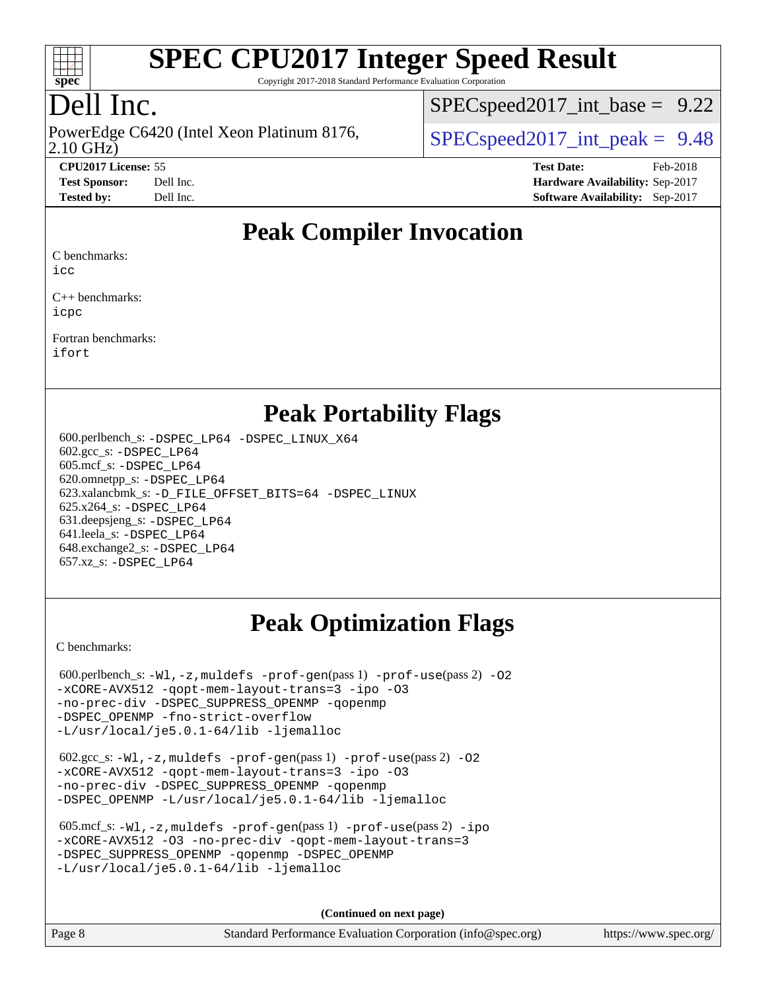

Copyright 2017-2018 Standard Performance Evaluation Corporation

## Dell Inc.

PowerEdge C6420 (Intel Xeon Platinum 8176,<br>2.10 GHz)

 $SPECspeed2017\_int\_base = 9.22$ 

 $SPECspeed2017\_int\_peak = 9.48$ 

**[CPU2017 License:](http://www.spec.org/auto/cpu2017/Docs/result-fields.html#CPU2017License)** 55 **[Test Date:](http://www.spec.org/auto/cpu2017/Docs/result-fields.html#TestDate)** Feb-2018 **[Test Sponsor:](http://www.spec.org/auto/cpu2017/Docs/result-fields.html#TestSponsor)** Dell Inc. **[Hardware Availability:](http://www.spec.org/auto/cpu2017/Docs/result-fields.html#HardwareAvailability)** Sep-2017 **[Tested by:](http://www.spec.org/auto/cpu2017/Docs/result-fields.html#Testedby)** Dell Inc. **[Software Availability:](http://www.spec.org/auto/cpu2017/Docs/result-fields.html#SoftwareAvailability)** Sep-2017

#### **[Peak Compiler Invocation](http://www.spec.org/auto/cpu2017/Docs/result-fields.html#PeakCompilerInvocation)**

[C benchmarks](http://www.spec.org/auto/cpu2017/Docs/result-fields.html#Cbenchmarks):

[icc](http://www.spec.org/cpu2017/results/res2018q1/cpu2017-20180305-03845.flags.html#user_CCpeak_intel_icc_18.0_66fc1ee009f7361af1fbd72ca7dcefbb700085f36577c54f309893dd4ec40d12360134090235512931783d35fd58c0460139e722d5067c5574d8eaf2b3e37e92)

[C++ benchmarks:](http://www.spec.org/auto/cpu2017/Docs/result-fields.html#CXXbenchmarks) [icpc](http://www.spec.org/cpu2017/results/res2018q1/cpu2017-20180305-03845.flags.html#user_CXXpeak_intel_icpc_18.0_c510b6838c7f56d33e37e94d029a35b4a7bccf4766a728ee175e80a419847e808290a9b78be685c44ab727ea267ec2f070ec5dc83b407c0218cded6866a35d07)

[Fortran benchmarks](http://www.spec.org/auto/cpu2017/Docs/result-fields.html#Fortranbenchmarks): [ifort](http://www.spec.org/cpu2017/results/res2018q1/cpu2017-20180305-03845.flags.html#user_FCpeak_intel_ifort_18.0_8111460550e3ca792625aed983ce982f94888b8b503583aa7ba2b8303487b4d8a21a13e7191a45c5fd58ff318f48f9492884d4413fa793fd88dd292cad7027ca)

#### **[Peak Portability Flags](http://www.spec.org/auto/cpu2017/Docs/result-fields.html#PeakPortabilityFlags)**

 600.perlbench\_s: [-DSPEC\\_LP64](http://www.spec.org/cpu2017/results/res2018q1/cpu2017-20180305-03845.flags.html#b600.perlbench_s_peakPORTABILITY_DSPEC_LP64) [-DSPEC\\_LINUX\\_X64](http://www.spec.org/cpu2017/results/res2018q1/cpu2017-20180305-03845.flags.html#b600.perlbench_s_peakCPORTABILITY_DSPEC_LINUX_X64) 602.gcc\_s: [-DSPEC\\_LP64](http://www.spec.org/cpu2017/results/res2018q1/cpu2017-20180305-03845.flags.html#suite_peakPORTABILITY602_gcc_s_DSPEC_LP64) 605.mcf\_s: [-DSPEC\\_LP64](http://www.spec.org/cpu2017/results/res2018q1/cpu2017-20180305-03845.flags.html#suite_peakPORTABILITY605_mcf_s_DSPEC_LP64) 620.omnetpp\_s: [-DSPEC\\_LP64](http://www.spec.org/cpu2017/results/res2018q1/cpu2017-20180305-03845.flags.html#suite_peakPORTABILITY620_omnetpp_s_DSPEC_LP64) 623.xalancbmk\_s: [-D\\_FILE\\_OFFSET\\_BITS=64](http://www.spec.org/cpu2017/results/res2018q1/cpu2017-20180305-03845.flags.html#user_peakPORTABILITY623_xalancbmk_s_file_offset_bits_64_5ae949a99b284ddf4e95728d47cb0843d81b2eb0e18bdfe74bbf0f61d0b064f4bda2f10ea5eb90e1dcab0e84dbc592acfc5018bc955c18609f94ddb8d550002c) [-DSPEC\\_LINUX](http://www.spec.org/cpu2017/results/res2018q1/cpu2017-20180305-03845.flags.html#b623.xalancbmk_s_peakCXXPORTABILITY_DSPEC_LINUX) 625.x264\_s: [-DSPEC\\_LP64](http://www.spec.org/cpu2017/results/res2018q1/cpu2017-20180305-03845.flags.html#suite_peakPORTABILITY625_x264_s_DSPEC_LP64) 631.deepsjeng\_s: [-DSPEC\\_LP64](http://www.spec.org/cpu2017/results/res2018q1/cpu2017-20180305-03845.flags.html#suite_peakPORTABILITY631_deepsjeng_s_DSPEC_LP64) 641.leela\_s: [-DSPEC\\_LP64](http://www.spec.org/cpu2017/results/res2018q1/cpu2017-20180305-03845.flags.html#suite_peakPORTABILITY641_leela_s_DSPEC_LP64) 648.exchange2\_s: [-DSPEC\\_LP64](http://www.spec.org/cpu2017/results/res2018q1/cpu2017-20180305-03845.flags.html#suite_peakPORTABILITY648_exchange2_s_DSPEC_LP64) 657.xz\_s: [-DSPEC\\_LP64](http://www.spec.org/cpu2017/results/res2018q1/cpu2017-20180305-03845.flags.html#suite_peakPORTABILITY657_xz_s_DSPEC_LP64)

### **[Peak Optimization Flags](http://www.spec.org/auto/cpu2017/Docs/result-fields.html#PeakOptimizationFlags)**

[C benchmarks](http://www.spec.org/auto/cpu2017/Docs/result-fields.html#Cbenchmarks):

600.perlbench\_s:  $-W1$ , -z, muldefs [-prof-gen](http://www.spec.org/cpu2017/results/res2018q1/cpu2017-20180305-03845.flags.html#user_peakPASS1_CFLAGSPASS1_LDFLAGS600_perlbench_s_prof_gen_5aa4926d6013ddb2a31985c654b3eb18169fc0c6952a63635c234f711e6e63dd76e94ad52365559451ec499a2cdb89e4dc58ba4c67ef54ca681ffbe1461d6b36)(pass 1) [-prof-use](http://www.spec.org/cpu2017/results/res2018q1/cpu2017-20180305-03845.flags.html#user_peakPASS2_CFLAGSPASS2_LDFLAGS600_perlbench_s_prof_use_1a21ceae95f36a2b53c25747139a6c16ca95bd9def2a207b4f0849963b97e94f5260e30a0c64f4bb623698870e679ca08317ef8150905d41bd88c6f78df73f19)(pass 2) -02 [-xCORE-AVX512](http://www.spec.org/cpu2017/results/res2018q1/cpu2017-20180305-03845.flags.html#user_peakPASS2_COPTIMIZE600_perlbench_s_f-xCORE-AVX512) [-qopt-mem-layout-trans=3](http://www.spec.org/cpu2017/results/res2018q1/cpu2017-20180305-03845.flags.html#user_peakPASS1_COPTIMIZEPASS2_COPTIMIZE600_perlbench_s_f-qopt-mem-layout-trans_de80db37974c74b1f0e20d883f0b675c88c3b01e9d123adea9b28688d64333345fb62bc4a798493513fdb68f60282f9a726aa07f478b2f7113531aecce732043) [-ipo](http://www.spec.org/cpu2017/results/res2018q1/cpu2017-20180305-03845.flags.html#user_peakPASS2_COPTIMIZE600_perlbench_s_f-ipo) [-O3](http://www.spec.org/cpu2017/results/res2018q1/cpu2017-20180305-03845.flags.html#user_peakPASS2_COPTIMIZE600_perlbench_s_f-O3) [-no-prec-div](http://www.spec.org/cpu2017/results/res2018q1/cpu2017-20180305-03845.flags.html#user_peakPASS2_COPTIMIZE600_perlbench_s_f-no-prec-div) [-DSPEC\\_SUPPRESS\\_OPENMP](http://www.spec.org/cpu2017/results/res2018q1/cpu2017-20180305-03845.flags.html#suite_peakPASS1_COPTIMIZE600_perlbench_s_DSPEC_SUPPRESS_OPENMP) [-qopenmp](http://www.spec.org/cpu2017/results/res2018q1/cpu2017-20180305-03845.flags.html#user_peakPASS2_COPTIMIZE600_perlbench_s_qopenmp_16be0c44f24f464004c6784a7acb94aca937f053568ce72f94b139a11c7c168634a55f6653758ddd83bcf7b8463e8028bb0b48b77bcddc6b78d5d95bb1df2967) [-DSPEC\\_OPENMP](http://www.spec.org/cpu2017/results/res2018q1/cpu2017-20180305-03845.flags.html#suite_peakPASS2_COPTIMIZE600_perlbench_s_DSPEC_OPENMP) [-fno-strict-overflow](http://www.spec.org/cpu2017/results/res2018q1/cpu2017-20180305-03845.flags.html#user_peakEXTRA_OPTIMIZE600_perlbench_s_f-fno-strict-overflow) [-L/usr/local/je5.0.1-64/lib](http://www.spec.org/cpu2017/results/res2018q1/cpu2017-20180305-03845.flags.html#user_peakEXTRA_LIBS600_perlbench_s_jemalloc_link_path64_4b10a636b7bce113509b17f3bd0d6226c5fb2346b9178c2d0232c14f04ab830f976640479e5c33dc2bcbbdad86ecfb6634cbbd4418746f06f368b512fced5394) [-ljemalloc](http://www.spec.org/cpu2017/results/res2018q1/cpu2017-20180305-03845.flags.html#user_peakEXTRA_LIBS600_perlbench_s_jemalloc_link_lib_d1249b907c500fa1c0672f44f562e3d0f79738ae9e3c4a9c376d49f265a04b9c99b167ecedbf6711b3085be911c67ff61f150a17b3472be731631ba4d0471706)

 602.gcc\_s: [-Wl,-z,muldefs](http://www.spec.org/cpu2017/results/res2018q1/cpu2017-20180305-03845.flags.html#user_peakEXTRA_LDFLAGS602_gcc_s_link_force_multiple1_b4cbdb97b34bdee9ceefcfe54f4c8ea74255f0b02a4b23e853cdb0e18eb4525ac79b5a88067c842dd0ee6996c24547a27a4b99331201badda8798ef8a743f577) [-prof-gen](http://www.spec.org/cpu2017/results/res2018q1/cpu2017-20180305-03845.flags.html#user_peakPASS1_CFLAGSPASS1_LDFLAGS602_gcc_s_prof_gen_5aa4926d6013ddb2a31985c654b3eb18169fc0c6952a63635c234f711e6e63dd76e94ad52365559451ec499a2cdb89e4dc58ba4c67ef54ca681ffbe1461d6b36)(pass 1) [-prof-use](http://www.spec.org/cpu2017/results/res2018q1/cpu2017-20180305-03845.flags.html#user_peakPASS2_CFLAGSPASS2_LDFLAGS602_gcc_s_prof_use_1a21ceae95f36a2b53c25747139a6c16ca95bd9def2a207b4f0849963b97e94f5260e30a0c64f4bb623698870e679ca08317ef8150905d41bd88c6f78df73f19)(pass 2) [-O2](http://www.spec.org/cpu2017/results/res2018q1/cpu2017-20180305-03845.flags.html#user_peakPASS1_COPTIMIZE602_gcc_s_f-O2) [-xCORE-AVX512](http://www.spec.org/cpu2017/results/res2018q1/cpu2017-20180305-03845.flags.html#user_peakPASS2_COPTIMIZE602_gcc_s_f-xCORE-AVX512) [-qopt-mem-layout-trans=3](http://www.spec.org/cpu2017/results/res2018q1/cpu2017-20180305-03845.flags.html#user_peakPASS1_COPTIMIZEPASS2_COPTIMIZE602_gcc_s_f-qopt-mem-layout-trans_de80db37974c74b1f0e20d883f0b675c88c3b01e9d123adea9b28688d64333345fb62bc4a798493513fdb68f60282f9a726aa07f478b2f7113531aecce732043) [-ipo](http://www.spec.org/cpu2017/results/res2018q1/cpu2017-20180305-03845.flags.html#user_peakPASS2_COPTIMIZE602_gcc_s_f-ipo) [-O3](http://www.spec.org/cpu2017/results/res2018q1/cpu2017-20180305-03845.flags.html#user_peakPASS2_COPTIMIZE602_gcc_s_f-O3) [-no-prec-div](http://www.spec.org/cpu2017/results/res2018q1/cpu2017-20180305-03845.flags.html#user_peakPASS2_COPTIMIZE602_gcc_s_f-no-prec-div) [-DSPEC\\_SUPPRESS\\_OPENMP](http://www.spec.org/cpu2017/results/res2018q1/cpu2017-20180305-03845.flags.html#suite_peakPASS1_COPTIMIZE602_gcc_s_DSPEC_SUPPRESS_OPENMP) [-qopenmp](http://www.spec.org/cpu2017/results/res2018q1/cpu2017-20180305-03845.flags.html#user_peakPASS2_COPTIMIZE602_gcc_s_qopenmp_16be0c44f24f464004c6784a7acb94aca937f053568ce72f94b139a11c7c168634a55f6653758ddd83bcf7b8463e8028bb0b48b77bcddc6b78d5d95bb1df2967) [-DSPEC\\_OPENMP](http://www.spec.org/cpu2017/results/res2018q1/cpu2017-20180305-03845.flags.html#suite_peakPASS2_COPTIMIZE602_gcc_s_DSPEC_OPENMP) [-L/usr/local/je5.0.1-64/lib](http://www.spec.org/cpu2017/results/res2018q1/cpu2017-20180305-03845.flags.html#user_peakEXTRA_LIBS602_gcc_s_jemalloc_link_path64_4b10a636b7bce113509b17f3bd0d6226c5fb2346b9178c2d0232c14f04ab830f976640479e5c33dc2bcbbdad86ecfb6634cbbd4418746f06f368b512fced5394) [-ljemalloc](http://www.spec.org/cpu2017/results/res2018q1/cpu2017-20180305-03845.flags.html#user_peakEXTRA_LIBS602_gcc_s_jemalloc_link_lib_d1249b907c500fa1c0672f44f562e3d0f79738ae9e3c4a9c376d49f265a04b9c99b167ecedbf6711b3085be911c67ff61f150a17b3472be731631ba4d0471706)

| 605.mcf s: $-Wl$ , $-z$ , muldefs $-prof-qen(pass 1)$ $-prof-use(pass 2) -ipo$ |
|--------------------------------------------------------------------------------|
| -xCORE-AVX512 -03 -no-prec-div -gopt-mem-layout-trans=3                        |
| -DSPEC SUPPRESS OPENMP - gopenmp - DSPEC OPENMP                                |
| -L/usr/local/je5.0.1-64/lib -ljemalloc                                         |

**(Continued on next page)**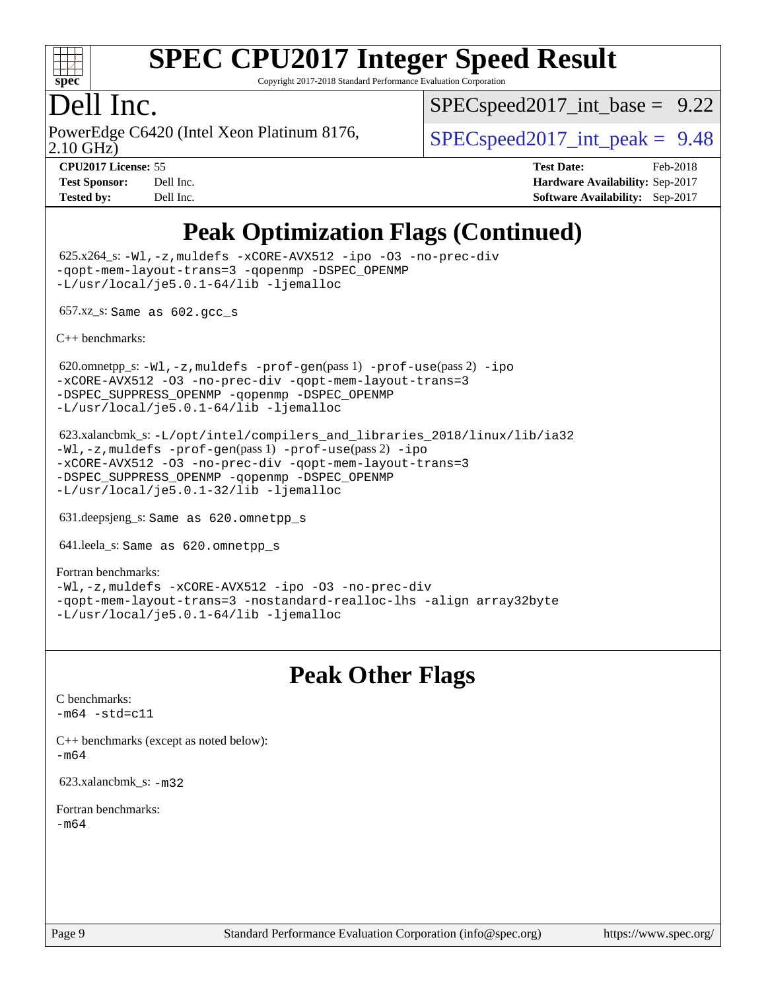

Copyright 2017-2018 Standard Performance Evaluation Corporation

#### Dell Inc.

PowerEdge C6420 (Intel Xeon Platinum 8176,<br>2.10 GHz)

 $SPECspeed2017\_int\_base = 9.22$ 

 $SPECspeed2017\_int\_peak = 9.48$ 

**[CPU2017 License:](http://www.spec.org/auto/cpu2017/Docs/result-fields.html#CPU2017License)** 55 **[Test Date:](http://www.spec.org/auto/cpu2017/Docs/result-fields.html#TestDate)** Feb-2018 **[Test Sponsor:](http://www.spec.org/auto/cpu2017/Docs/result-fields.html#TestSponsor)** Dell Inc. **[Hardware Availability:](http://www.spec.org/auto/cpu2017/Docs/result-fields.html#HardwareAvailability)** Sep-2017 **[Tested by:](http://www.spec.org/auto/cpu2017/Docs/result-fields.html#Testedby)** Dell Inc. **[Software Availability:](http://www.spec.org/auto/cpu2017/Docs/result-fields.html#SoftwareAvailability)** Sep-2017

## **[Peak Optimization Flags \(Continued\)](http://www.spec.org/auto/cpu2017/Docs/result-fields.html#PeakOptimizationFlags)**

 625.x264\_s: [-Wl,-z,muldefs](http://www.spec.org/cpu2017/results/res2018q1/cpu2017-20180305-03845.flags.html#user_peakEXTRA_LDFLAGS625_x264_s_link_force_multiple1_b4cbdb97b34bdee9ceefcfe54f4c8ea74255f0b02a4b23e853cdb0e18eb4525ac79b5a88067c842dd0ee6996c24547a27a4b99331201badda8798ef8a743f577) [-xCORE-AVX512](http://www.spec.org/cpu2017/results/res2018q1/cpu2017-20180305-03845.flags.html#user_peakCOPTIMIZE625_x264_s_f-xCORE-AVX512) [-ipo](http://www.spec.org/cpu2017/results/res2018q1/cpu2017-20180305-03845.flags.html#user_peakCOPTIMIZE625_x264_s_f-ipo) [-O3](http://www.spec.org/cpu2017/results/res2018q1/cpu2017-20180305-03845.flags.html#user_peakCOPTIMIZE625_x264_s_f-O3) [-no-prec-div](http://www.spec.org/cpu2017/results/res2018q1/cpu2017-20180305-03845.flags.html#user_peakCOPTIMIZE625_x264_s_f-no-prec-div) [-qopt-mem-layout-trans=3](http://www.spec.org/cpu2017/results/res2018q1/cpu2017-20180305-03845.flags.html#user_peakCOPTIMIZE625_x264_s_f-qopt-mem-layout-trans_de80db37974c74b1f0e20d883f0b675c88c3b01e9d123adea9b28688d64333345fb62bc4a798493513fdb68f60282f9a726aa07f478b2f7113531aecce732043) [-qopenmp](http://www.spec.org/cpu2017/results/res2018q1/cpu2017-20180305-03845.flags.html#user_peakCOPTIMIZE625_x264_s_qopenmp_16be0c44f24f464004c6784a7acb94aca937f053568ce72f94b139a11c7c168634a55f6653758ddd83bcf7b8463e8028bb0b48b77bcddc6b78d5d95bb1df2967) [-DSPEC\\_OPENMP](http://www.spec.org/cpu2017/results/res2018q1/cpu2017-20180305-03845.flags.html#suite_peakCOPTIMIZE625_x264_s_DSPEC_OPENMP) [-L/usr/local/je5.0.1-64/lib](http://www.spec.org/cpu2017/results/res2018q1/cpu2017-20180305-03845.flags.html#user_peakEXTRA_LIBS625_x264_s_jemalloc_link_path64_4b10a636b7bce113509b17f3bd0d6226c5fb2346b9178c2d0232c14f04ab830f976640479e5c33dc2bcbbdad86ecfb6634cbbd4418746f06f368b512fced5394) [-ljemalloc](http://www.spec.org/cpu2017/results/res2018q1/cpu2017-20180305-03845.flags.html#user_peakEXTRA_LIBS625_x264_s_jemalloc_link_lib_d1249b907c500fa1c0672f44f562e3d0f79738ae9e3c4a9c376d49f265a04b9c99b167ecedbf6711b3085be911c67ff61f150a17b3472be731631ba4d0471706)

657.xz\_s: Same as 602.gcc\_s

[C++ benchmarks:](http://www.spec.org/auto/cpu2017/Docs/result-fields.html#CXXbenchmarks)

620.omnetpp\_s: $-W1$ ,-z,muldefs -prof-qen(pass 1) [-prof-use](http://www.spec.org/cpu2017/results/res2018q1/cpu2017-20180305-03845.flags.html#user_peakPASS2_CXXFLAGSPASS2_LDFLAGS620_omnetpp_s_prof_use_1a21ceae95f36a2b53c25747139a6c16ca95bd9def2a207b4f0849963b97e94f5260e30a0c64f4bb623698870e679ca08317ef8150905d41bd88c6f78df73f19)(pass 2) [-ipo](http://www.spec.org/cpu2017/results/res2018q1/cpu2017-20180305-03845.flags.html#user_peakPASS1_CXXOPTIMIZEPASS2_CXXOPTIMIZE620_omnetpp_s_f-ipo) [-xCORE-AVX512](http://www.spec.org/cpu2017/results/res2018q1/cpu2017-20180305-03845.flags.html#user_peakPASS2_CXXOPTIMIZE620_omnetpp_s_f-xCORE-AVX512) [-O3](http://www.spec.org/cpu2017/results/res2018q1/cpu2017-20180305-03845.flags.html#user_peakPASS1_CXXOPTIMIZEPASS2_CXXOPTIMIZE620_omnetpp_s_f-O3) [-no-prec-div](http://www.spec.org/cpu2017/results/res2018q1/cpu2017-20180305-03845.flags.html#user_peakPASS1_CXXOPTIMIZEPASS2_CXXOPTIMIZE620_omnetpp_s_f-no-prec-div) [-qopt-mem-layout-trans=3](http://www.spec.org/cpu2017/results/res2018q1/cpu2017-20180305-03845.flags.html#user_peakPASS1_CXXOPTIMIZEPASS2_CXXOPTIMIZE620_omnetpp_s_f-qopt-mem-layout-trans_de80db37974c74b1f0e20d883f0b675c88c3b01e9d123adea9b28688d64333345fb62bc4a798493513fdb68f60282f9a726aa07f478b2f7113531aecce732043) [-DSPEC\\_SUPPRESS\\_OPENMP](http://www.spec.org/cpu2017/results/res2018q1/cpu2017-20180305-03845.flags.html#suite_peakPASS1_CXXOPTIMIZE620_omnetpp_s_DSPEC_SUPPRESS_OPENMP) [-qopenmp](http://www.spec.org/cpu2017/results/res2018q1/cpu2017-20180305-03845.flags.html#user_peakPASS2_CXXOPTIMIZE620_omnetpp_s_qopenmp_16be0c44f24f464004c6784a7acb94aca937f053568ce72f94b139a11c7c168634a55f6653758ddd83bcf7b8463e8028bb0b48b77bcddc6b78d5d95bb1df2967) [-DSPEC\\_OPENMP](http://www.spec.org/cpu2017/results/res2018q1/cpu2017-20180305-03845.flags.html#suite_peakPASS2_CXXOPTIMIZE620_omnetpp_s_DSPEC_OPENMP) [-L/usr/local/je5.0.1-64/lib](http://www.spec.org/cpu2017/results/res2018q1/cpu2017-20180305-03845.flags.html#user_peakEXTRA_LIBS620_omnetpp_s_jemalloc_link_path64_4b10a636b7bce113509b17f3bd0d6226c5fb2346b9178c2d0232c14f04ab830f976640479e5c33dc2bcbbdad86ecfb6634cbbd4418746f06f368b512fced5394) [-ljemalloc](http://www.spec.org/cpu2017/results/res2018q1/cpu2017-20180305-03845.flags.html#user_peakEXTRA_LIBS620_omnetpp_s_jemalloc_link_lib_d1249b907c500fa1c0672f44f562e3d0f79738ae9e3c4a9c376d49f265a04b9c99b167ecedbf6711b3085be911c67ff61f150a17b3472be731631ba4d0471706)

 623.xalancbmk\_s: [-L/opt/intel/compilers\\_and\\_libraries\\_2018/linux/lib/ia32](http://www.spec.org/cpu2017/results/res2018q1/cpu2017-20180305-03845.flags.html#user_peakCXXLD623_xalancbmk_s_Enable-32bit-runtime_af243bdb1d79e4c7a4f720bf8275e627de2ecd461de63307bc14cef0633fde3cd7bb2facb32dcc8be9566045fb55d40ce2b72b725f73827aa7833441b71b9343) [-Wl,-z,muldefs](http://www.spec.org/cpu2017/results/res2018q1/cpu2017-20180305-03845.flags.html#user_peakEXTRA_LDFLAGS623_xalancbmk_s_link_force_multiple1_b4cbdb97b34bdee9ceefcfe54f4c8ea74255f0b02a4b23e853cdb0e18eb4525ac79b5a88067c842dd0ee6996c24547a27a4b99331201badda8798ef8a743f577) [-prof-gen](http://www.spec.org/cpu2017/results/res2018q1/cpu2017-20180305-03845.flags.html#user_peakPASS1_CXXFLAGSPASS1_LDFLAGS623_xalancbmk_s_prof_gen_5aa4926d6013ddb2a31985c654b3eb18169fc0c6952a63635c234f711e6e63dd76e94ad52365559451ec499a2cdb89e4dc58ba4c67ef54ca681ffbe1461d6b36)(pass 1) [-prof-use](http://www.spec.org/cpu2017/results/res2018q1/cpu2017-20180305-03845.flags.html#user_peakPASS2_CXXFLAGSPASS2_LDFLAGS623_xalancbmk_s_prof_use_1a21ceae95f36a2b53c25747139a6c16ca95bd9def2a207b4f0849963b97e94f5260e30a0c64f4bb623698870e679ca08317ef8150905d41bd88c6f78df73f19)(pass 2) [-ipo](http://www.spec.org/cpu2017/results/res2018q1/cpu2017-20180305-03845.flags.html#user_peakPASS1_CXXOPTIMIZEPASS2_CXXOPTIMIZE623_xalancbmk_s_f-ipo) [-xCORE-AVX512](http://www.spec.org/cpu2017/results/res2018q1/cpu2017-20180305-03845.flags.html#user_peakPASS2_CXXOPTIMIZE623_xalancbmk_s_f-xCORE-AVX512) [-O3](http://www.spec.org/cpu2017/results/res2018q1/cpu2017-20180305-03845.flags.html#user_peakPASS1_CXXOPTIMIZEPASS2_CXXOPTIMIZE623_xalancbmk_s_f-O3) [-no-prec-div](http://www.spec.org/cpu2017/results/res2018q1/cpu2017-20180305-03845.flags.html#user_peakPASS1_CXXOPTIMIZEPASS2_CXXOPTIMIZE623_xalancbmk_s_f-no-prec-div) [-qopt-mem-layout-trans=3](http://www.spec.org/cpu2017/results/res2018q1/cpu2017-20180305-03845.flags.html#user_peakPASS1_CXXOPTIMIZEPASS2_CXXOPTIMIZE623_xalancbmk_s_f-qopt-mem-layout-trans_de80db37974c74b1f0e20d883f0b675c88c3b01e9d123adea9b28688d64333345fb62bc4a798493513fdb68f60282f9a726aa07f478b2f7113531aecce732043) [-DSPEC\\_SUPPRESS\\_OPENMP](http://www.spec.org/cpu2017/results/res2018q1/cpu2017-20180305-03845.flags.html#suite_peakPASS1_CXXOPTIMIZE623_xalancbmk_s_DSPEC_SUPPRESS_OPENMP) [-qopenmp](http://www.spec.org/cpu2017/results/res2018q1/cpu2017-20180305-03845.flags.html#user_peakPASS2_CXXOPTIMIZE623_xalancbmk_s_qopenmp_16be0c44f24f464004c6784a7acb94aca937f053568ce72f94b139a11c7c168634a55f6653758ddd83bcf7b8463e8028bb0b48b77bcddc6b78d5d95bb1df2967) [-DSPEC\\_OPENMP](http://www.spec.org/cpu2017/results/res2018q1/cpu2017-20180305-03845.flags.html#suite_peakPASS2_CXXOPTIMIZE623_xalancbmk_s_DSPEC_OPENMP) [-L/usr/local/je5.0.1-32/lib](http://www.spec.org/cpu2017/results/res2018q1/cpu2017-20180305-03845.flags.html#user_peakEXTRA_LIBS623_xalancbmk_s_jemalloc_link_path32_e29f22e8e6c17053bbc6a0971f5a9c01a601a06bb1a59df2084b77a2fe0a2995b64fd4256feaeea39eeba3aae142e96e2b2b0a28974019c0c0c88139a84f900a) [-ljemalloc](http://www.spec.org/cpu2017/results/res2018q1/cpu2017-20180305-03845.flags.html#user_peakEXTRA_LIBS623_xalancbmk_s_jemalloc_link_lib_d1249b907c500fa1c0672f44f562e3d0f79738ae9e3c4a9c376d49f265a04b9c99b167ecedbf6711b3085be911c67ff61f150a17b3472be731631ba4d0471706)

631.deepsjeng\_s: Same as 620.omnetpp\_s

641.leela\_s: Same as 620.omnetpp\_s

[Fortran benchmarks](http://www.spec.org/auto/cpu2017/Docs/result-fields.html#Fortranbenchmarks): [-Wl,-z,muldefs](http://www.spec.org/cpu2017/results/res2018q1/cpu2017-20180305-03845.flags.html#user_FCpeak_link_force_multiple1_b4cbdb97b34bdee9ceefcfe54f4c8ea74255f0b02a4b23e853cdb0e18eb4525ac79b5a88067c842dd0ee6996c24547a27a4b99331201badda8798ef8a743f577) [-xCORE-AVX512](http://www.spec.org/cpu2017/results/res2018q1/cpu2017-20180305-03845.flags.html#user_FCpeak_f-xCORE-AVX512) [-ipo](http://www.spec.org/cpu2017/results/res2018q1/cpu2017-20180305-03845.flags.html#user_FCpeak_f-ipo) [-O3](http://www.spec.org/cpu2017/results/res2018q1/cpu2017-20180305-03845.flags.html#user_FCpeak_f-O3) [-no-prec-div](http://www.spec.org/cpu2017/results/res2018q1/cpu2017-20180305-03845.flags.html#user_FCpeak_f-no-prec-div) [-qopt-mem-layout-trans=3](http://www.spec.org/cpu2017/results/res2018q1/cpu2017-20180305-03845.flags.html#user_FCpeak_f-qopt-mem-layout-trans_de80db37974c74b1f0e20d883f0b675c88c3b01e9d123adea9b28688d64333345fb62bc4a798493513fdb68f60282f9a726aa07f478b2f7113531aecce732043) [-nostandard-realloc-lhs](http://www.spec.org/cpu2017/results/res2018q1/cpu2017-20180305-03845.flags.html#user_FCpeak_f_2003_std_realloc_82b4557e90729c0f113870c07e44d33d6f5a304b4f63d4c15d2d0f1fab99f5daaed73bdb9275d9ae411527f28b936061aa8b9c8f2d63842963b95c9dd6426b8a) [-align array32byte](http://www.spec.org/cpu2017/results/res2018q1/cpu2017-20180305-03845.flags.html#user_FCpeak_align_array32byte_b982fe038af199962ba9a80c053b8342c548c85b40b8e86eb3cc33dee0d7986a4af373ac2d51c3f7cf710a18d62fdce2948f201cd044323541f22fc0fffc51b6) [-L/usr/local/je5.0.1-64/lib](http://www.spec.org/cpu2017/results/res2018q1/cpu2017-20180305-03845.flags.html#user_FCpeak_jemalloc_link_path64_4b10a636b7bce113509b17f3bd0d6226c5fb2346b9178c2d0232c14f04ab830f976640479e5c33dc2bcbbdad86ecfb6634cbbd4418746f06f368b512fced5394) [-ljemalloc](http://www.spec.org/cpu2017/results/res2018q1/cpu2017-20180305-03845.flags.html#user_FCpeak_jemalloc_link_lib_d1249b907c500fa1c0672f44f562e3d0f79738ae9e3c4a9c376d49f265a04b9c99b167ecedbf6711b3085be911c67ff61f150a17b3472be731631ba4d0471706)

#### **[Peak Other Flags](http://www.spec.org/auto/cpu2017/Docs/result-fields.html#PeakOtherFlags)**

[C benchmarks](http://www.spec.org/auto/cpu2017/Docs/result-fields.html#Cbenchmarks):  $-m64 - std= c11$  $-m64 - std= c11$ 

[C++ benchmarks \(except as noted below\):](http://www.spec.org/auto/cpu2017/Docs/result-fields.html#CXXbenchmarksexceptasnotedbelow) [-m64](http://www.spec.org/cpu2017/results/res2018q1/cpu2017-20180305-03845.flags.html#user_CXXpeak_intel_intel64_18.0_af43caccfc8ded86e7699f2159af6efc7655f51387b94da716254467f3c01020a5059329e2569e4053f409e7c9202a7efc638f7a6d1ffb3f52dea4a3e31d82ab)

623.xalancbmk\_s: [-m32](http://www.spec.org/cpu2017/results/res2018q1/cpu2017-20180305-03845.flags.html#user_peakCXXLD623_xalancbmk_s_intel_ia32_18.0_2666f1173eb60787016b673bfe1358e27016ef7649ea4884b7bc6187fd89dc221d14632e22638cde1c647a518de97358ab15d4ad098ee4e19a8b28d0c25e14bf)

[Fortran benchmarks](http://www.spec.org/auto/cpu2017/Docs/result-fields.html#Fortranbenchmarks): [-m64](http://www.spec.org/cpu2017/results/res2018q1/cpu2017-20180305-03845.flags.html#user_FCpeak_intel_intel64_18.0_af43caccfc8ded86e7699f2159af6efc7655f51387b94da716254467f3c01020a5059329e2569e4053f409e7c9202a7efc638f7a6d1ffb3f52dea4a3e31d82ab)